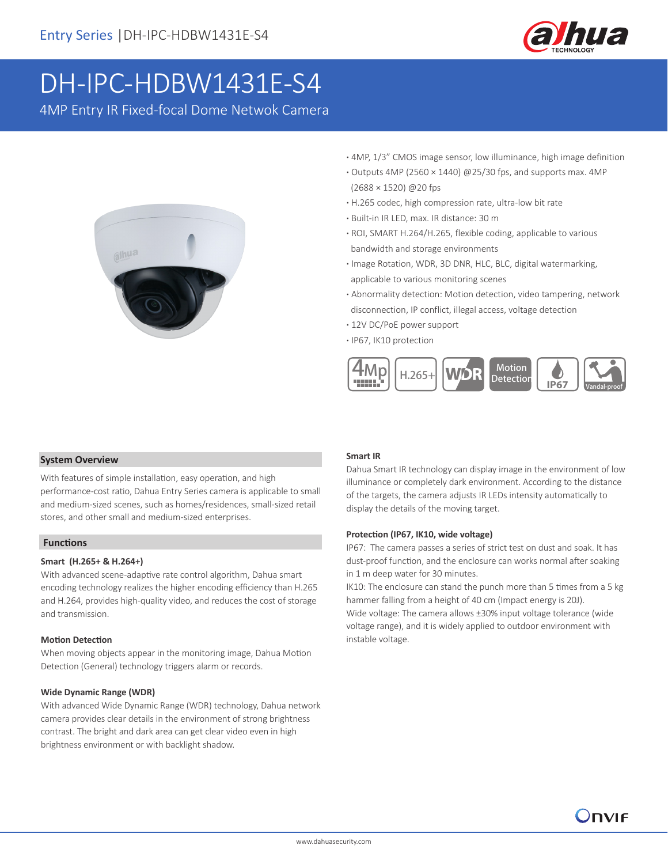

# DH-IPC-HDBW1431E-S4

4MP Entry IR Fixed-focal Dome Netwok Camera



- **·** 4MP, 1/3" CMOS image sensor, low illuminance, high image definition
- **·** Outputs 4MP (2560 × 1440) @25/30 fps, and supports max. 4MP (2688 × 1520) @20 fps
- **·** H.265 codec, high compression rate, ultra-low bit rate
- **·** Built-in IR LED, max. IR distance: 30 m
- **·** ROI, SMART H.264/H.265, flexible coding, applicable to various bandwidth and storage environments
- **·** Image Rotation, WDR, 3D DNR, HLC, BLC, digital watermarking, applicable to various monitoring scenes
- **·** Abnormality detection: Motion detection, video tampering, network disconnection, IP conflict, illegal access, voltage detection
- **·** 12V DC/PoE power support
- **·** IP67, IK10 protection



### **System Overview**

With features of simple installation, easy operation, and high performance-cost ratio, Dahua Entry Series camera is applicable to small and medium-sized scenes, such as homes/residences, small-sized retail stores, and other small and medium-sized enterprises.

### **Functions**

### **Smart (H.265+ & H.264+)**

With advanced scene-adaptive rate control algorithm, Dahua smart encoding technology realizes the higher encoding efficiency than H.265 and H.264, provides high-quality video, and reduces the cost of storage and transmission.

#### **Motion Detection**

When moving objects appear in the monitoring image, Dahua Motion Detection (General) technology triggers alarm or records.

### **Wide Dynamic Range (WDR)**

With advanced Wide Dynamic Range (WDR) technology, Dahua network camera provides clear details in the environment of strong brightness contrast. The bright and dark area can get clear video even in high brightness environment or with backlight shadow.

### **Smart IR**

Dahua Smart IR technology can display image in the environment of low illuminance or completely dark environment. According to the distance of the targets, the camera adjusts IR LEDs intensity automatically to display the details of the moving target.

#### **Protection (IP67, IK10, wide voltage)**

IP67: The camera passes a series of strict test on dust and soak. It has dust-proof function, and the enclosure can works normal after soaking in 1 m deep water for 30 minutes.

IK10: The enclosure can stand the punch more than 5 times from a 5 kg hammer falling from a height of 40 cm (Impact energy is 20J). Wide voltage: The camera allows ±30% input voltage tolerance (wide voltage range), and it is widely applied to outdoor environment with instable voltage.

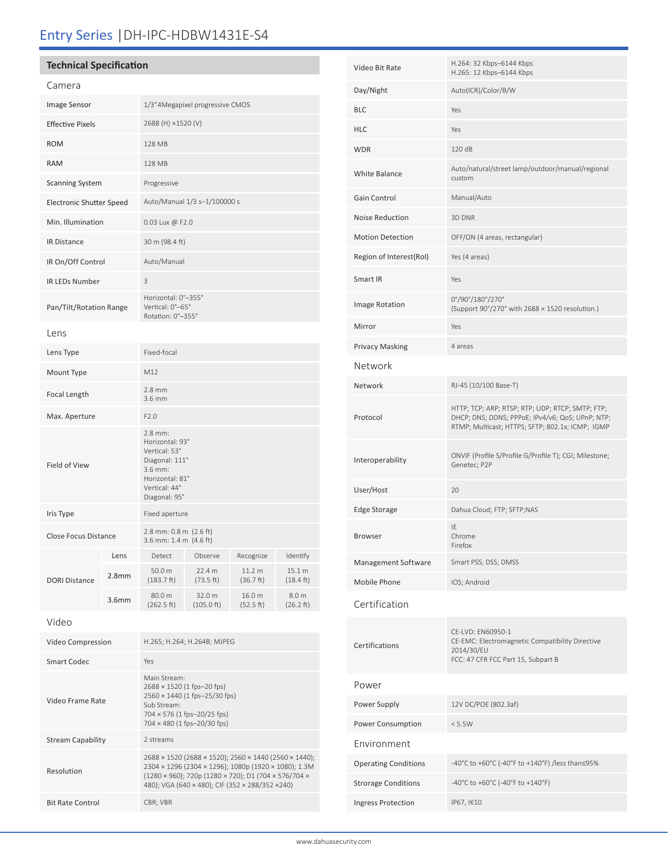## Entry Series |DH-IPC-HDBW1431E-S4

### **Technical Specification**

| Image Sensor<br>1/3"4Megapixel progressive CMOS<br>2688 (H) ×1520 (V)<br><b>Effective Pixels</b><br><b>ROM</b><br>128 MB<br><b>RAM</b><br>128 MB<br><b>Scanning System</b><br>Progressive<br>Auto/Manual 1/3 s-1/100000 s<br><b>Electronic Shutter Speed</b><br>Min. Illumination<br>0.03 Lux @ F2.0<br><b>IR Distance</b><br>30 m (98.4 ft)<br>IR On/Off Control<br>Auto/Manual<br><b>IR LEDs Number</b><br>3<br>Horizontal: 0°-355°<br>Vertical: 0°-65°<br>Pan/Tilt/Rotation Range<br>Rotation: 0°-355°<br>Lens<br>Fixed-focal<br>Lens Type<br>M12<br>Mount Type<br>$2.8$ mm<br>Focal Length<br>3.6 mm<br>F2.0<br>Max. Aperture<br>$2.8$ mm:<br>Horizontal: 93°<br>Vertical: 53°<br>Diagonal: 111°<br>Field of View<br>3.6 mm:<br>Horizontal: 81°<br>Vertical: 44°<br>Diagonal: 95°<br>Iris Type<br>Fixed aperture<br>2.8 mm: 0.8 m (2.6 ft)<br>Close Focus Distance<br>3.6 mm: 1.4 m (4.6 ft)<br>Detect<br>Observe<br>Recognize<br>Identify<br>Lens | Camera               |  |        |        |        |        |
|--------------------------------------------------------------------------------------------------------------------------------------------------------------------------------------------------------------------------------------------------------------------------------------------------------------------------------------------------------------------------------------------------------------------------------------------------------------------------------------------------------------------------------------------------------------------------------------------------------------------------------------------------------------------------------------------------------------------------------------------------------------------------------------------------------------------------------------------------------------------------------------------------------------------------------------------------------|----------------------|--|--------|--------|--------|--------|
|                                                                                                                                                                                                                                                                                                                                                                                                                                                                                                                                                                                                                                                                                                                                                                                                                                                                                                                                                        |                      |  |        |        |        |        |
|                                                                                                                                                                                                                                                                                                                                                                                                                                                                                                                                                                                                                                                                                                                                                                                                                                                                                                                                                        |                      |  |        |        |        |        |
|                                                                                                                                                                                                                                                                                                                                                                                                                                                                                                                                                                                                                                                                                                                                                                                                                                                                                                                                                        |                      |  |        |        |        |        |
|                                                                                                                                                                                                                                                                                                                                                                                                                                                                                                                                                                                                                                                                                                                                                                                                                                                                                                                                                        |                      |  |        |        |        |        |
|                                                                                                                                                                                                                                                                                                                                                                                                                                                                                                                                                                                                                                                                                                                                                                                                                                                                                                                                                        |                      |  |        |        |        |        |
|                                                                                                                                                                                                                                                                                                                                                                                                                                                                                                                                                                                                                                                                                                                                                                                                                                                                                                                                                        |                      |  |        |        |        |        |
|                                                                                                                                                                                                                                                                                                                                                                                                                                                                                                                                                                                                                                                                                                                                                                                                                                                                                                                                                        |                      |  |        |        |        |        |
|                                                                                                                                                                                                                                                                                                                                                                                                                                                                                                                                                                                                                                                                                                                                                                                                                                                                                                                                                        |                      |  |        |        |        |        |
|                                                                                                                                                                                                                                                                                                                                                                                                                                                                                                                                                                                                                                                                                                                                                                                                                                                                                                                                                        |                      |  |        |        |        |        |
|                                                                                                                                                                                                                                                                                                                                                                                                                                                                                                                                                                                                                                                                                                                                                                                                                                                                                                                                                        |                      |  |        |        |        |        |
|                                                                                                                                                                                                                                                                                                                                                                                                                                                                                                                                                                                                                                                                                                                                                                                                                                                                                                                                                        |                      |  |        |        |        |        |
|                                                                                                                                                                                                                                                                                                                                                                                                                                                                                                                                                                                                                                                                                                                                                                                                                                                                                                                                                        |                      |  |        |        |        |        |
|                                                                                                                                                                                                                                                                                                                                                                                                                                                                                                                                                                                                                                                                                                                                                                                                                                                                                                                                                        |                      |  |        |        |        |        |
|                                                                                                                                                                                                                                                                                                                                                                                                                                                                                                                                                                                                                                                                                                                                                                                                                                                                                                                                                        |                      |  |        |        |        |        |
|                                                                                                                                                                                                                                                                                                                                                                                                                                                                                                                                                                                                                                                                                                                                                                                                                                                                                                                                                        |                      |  |        |        |        |        |
|                                                                                                                                                                                                                                                                                                                                                                                                                                                                                                                                                                                                                                                                                                                                                                                                                                                                                                                                                        |                      |  |        |        |        |        |
|                                                                                                                                                                                                                                                                                                                                                                                                                                                                                                                                                                                                                                                                                                                                                                                                                                                                                                                                                        |                      |  |        |        |        |        |
|                                                                                                                                                                                                                                                                                                                                                                                                                                                                                                                                                                                                                                                                                                                                                                                                                                                                                                                                                        |                      |  |        |        |        |        |
|                                                                                                                                                                                                                                                                                                                                                                                                                                                                                                                                                                                                                                                                                                                                                                                                                                                                                                                                                        |                      |  |        |        |        |        |
|                                                                                                                                                                                                                                                                                                                                                                                                                                                                                                                                                                                                                                                                                                                                                                                                                                                                                                                                                        | <b>DORI Distance</b> |  |        |        |        |        |
| 2.8 <sub>mm</sub><br>(183.7 ft)<br>(73.5 ft)<br>(36.7 ft)<br>$(18.4 \text{ ft})$                                                                                                                                                                                                                                                                                                                                                                                                                                                                                                                                                                                                                                                                                                                                                                                                                                                                       |                      |  | 50.0 m | 22.4 m | 11.2 m | 15.1 m |
| 80.0 m<br>32.0 m<br>16.0 m<br>8.0 m<br>3.6 <sub>mm</sub><br>(262.5 ft)<br>(105.0 ft)<br>(52.5 ft)<br>(26.2 ft)                                                                                                                                                                                                                                                                                                                                                                                                                                                                                                                                                                                                                                                                                                                                                                                                                                         |                      |  |        |        |        |        |

|  | ۰, |
|--|----|
|--|----|

| Video Compression        | H.265; H.264; H.264B; MJPEG                                                                                                                                                                                                                                                            |
|--------------------------|----------------------------------------------------------------------------------------------------------------------------------------------------------------------------------------------------------------------------------------------------------------------------------------|
| <b>Smart Codec</b>       | Yes                                                                                                                                                                                                                                                                                    |
| Video Frame Rate         | Main Stream:<br>$2688 \times 1520$ (1 fps-20 fps)<br>2560 × 1440 (1 fps-25/30 fps)<br>Sub Stream:<br>$704 \times 576$ (1 fps-20/25 fps)<br>$704 \times 480$ (1 fps-20/30 fps)                                                                                                          |
| <b>Stream Capability</b> | 2 streams                                                                                                                                                                                                                                                                              |
| Resolution               | $2688 \times 1520$ (2688 $\times$ 1520); 2560 $\times$ 1440 (2560 $\times$ 1440);<br>2304 x 1296 (2304 x 1296); 1080p (1920 x 1080); 1.3M<br>$(1280 \times 960)$ ; 720p $(1280 \times 720)$ ; D1 $(704 \times 576/704 \times 1280)$<br>480); VGA (640 x 480); CIF (352 x 288/352 x240) |
| <b>Bit Rate Control</b>  | CBR; VBR                                                                                                                                                                                                                                                                               |

| Video Bit Rate              | H.264: 32 Kbps-6144 Kbps<br>H.265: 12 Kbps-6144 Kbps                                                                                                     |  |
|-----------------------------|----------------------------------------------------------------------------------------------------------------------------------------------------------|--|
| Day/Night                   | Auto(ICR)/Color/B/W                                                                                                                                      |  |
| <b>BLC</b>                  | Yes                                                                                                                                                      |  |
| <b>HLC</b>                  | Yes                                                                                                                                                      |  |
| <b>WDR</b>                  | 120 dB                                                                                                                                                   |  |
| <b>White Balance</b>        | Auto/natural/street lamp/outdoor/manual/regional<br>custom                                                                                               |  |
| Gain Control                | Manual/Auto                                                                                                                                              |  |
| Noise Reduction             | 3D DNR                                                                                                                                                   |  |
| <b>Motion Detection</b>     | OFF/ON (4 areas, rectangular)                                                                                                                            |  |
| Region of Interest(RoI)     | Yes (4 areas)                                                                                                                                            |  |
| Smart IR                    | Yes                                                                                                                                                      |  |
| <b>Image Rotation</b>       | 0°/90°/180°/270°<br>(Support 90°/270° with 2688 × 1520 resolution.)                                                                                      |  |
| Mirror                      | Yes                                                                                                                                                      |  |
| <b>Privacy Masking</b>      | 4 areas                                                                                                                                                  |  |
| Network                     |                                                                                                                                                          |  |
| Network                     | RJ-45 (10/100 Base-T)                                                                                                                                    |  |
| Protocol                    | HTTP; TCP; ARP; RTSP; RTP; UDP; RTCP; SMTP; FTP;<br>DHCP; DNS; DDNS; PPPoE; IPv4/v6; QoS; UPnP; NTP;<br>RTMP; Multicast; HTTPS; SFTP; 802.1x; ICMP; IGMP |  |
| Interoperability            | ONVIF (Profile S/Profile G/Profile T); CGI; Milestone;<br>Genetec; P2P                                                                                   |  |
| User/Host                   | 20                                                                                                                                                       |  |
| <b>Edge Storage</b>         | Dahua Cloud; FTP; SFTP;NAS                                                                                                                               |  |
| <b>Browser</b>              | IE<br>Chrome<br><b>Firefox</b>                                                                                                                           |  |
| Management Software         | Smart PSS; DSS; DMSS                                                                                                                                     |  |
| Mobile Phone                | IOS; Android                                                                                                                                             |  |
| Certification               |                                                                                                                                                          |  |
| Certifications              | CE-LVD: EN60950-1<br>CE-EMC: Electromagnetic Compatibility Directive<br>2014/30/EU<br>FCC: 47 CFR FCC Part 15, Subpart B                                 |  |
| Power                       |                                                                                                                                                          |  |
| Power Supply                | 12V DC/POE (802.3af)                                                                                                                                     |  |
| Power Consumption           | < 5.5W                                                                                                                                                   |  |
| Environment                 |                                                                                                                                                          |  |
| <b>Operating Conditions</b> | -40°C to +60°C (-40°F to +140°F) /less than≤95%                                                                                                          |  |
| <b>Strorage Conditions</b>  | -40°C to +60°C (-40°F to +140°F)                                                                                                                         |  |
| Ingress Protection          | IP67, IK10                                                                                                                                               |  |